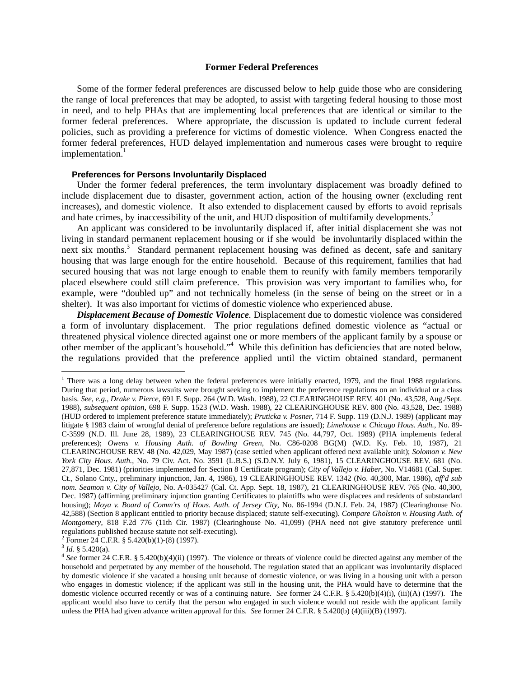## **Former Federal Preferences**

Some of the former federal preferences are discussed below to help guide those who are considering the range of local preferences that may be adopted, to assist with targeting federal housing to those most in need, and to help PHAs that are implementing local preferences that are identical or similar to the former federal preferences. Where appropriate, the discussion is updated to include current federal policies, such as providing a preference for victims of domestic violence. When Congress enacted the former federal preferences, HUD delayed implementation and numerous cases were brought to require implementation.<sup>1</sup>

## **Preferences for Persons Involuntarily Displaced**

Under the former federal preferences, the term involuntary displacement was broadly defined to include displacement due to disaster, government action, action of the housing owner (excluding rent increases), and domestic violence. It also extended to displacement caused by efforts to avoid reprisals and hate crimes, by inaccessibility of the unit, and HUD disposition of multifamily developments.<sup>2</sup>

 An applicant was considered to be involuntarily displaced if, after initial displacement she was not living in standard permanent replacement housing or if she would be involuntarily displaced within the next six months.<sup>3</sup> Standard permanent replacement housing was defined as decent, safe and sanitary housing that was large enough for the entire household. Because of this requirement, families that had secured housing that was not large enough to enable them to reunify with family members temporarily placed elsewhere could still claim preference. This provision was very important to families who, for example, were "doubled up" and not technically homeless (in the sense of being on the street or in a shelter). It was also important for victims of domestic violence who experienced abuse.

*Displacement Because of Domestic Violence.* Displacement due to domestic violence was considered a form of involuntary displacement. The prior regulations defined domestic violence as "actual or threatened physical violence directed against one or more members of the applicant family by a spouse or other member of the applicant's household."<sup>4</sup> While this definition has deficiencies that are noted below, the regulations provided that the preference applied until the victim obtained standard, permanent

<sup>2</sup> Former 24 C.F.R. § 5.420(b)(1)-(8) (1997).<br><sup>3</sup> Id. § 5.420(a).

 $\overline{a}$ 

<sup>&</sup>lt;sup>1</sup> There was a long delay between when the federal preferences were initially enacted, 1979, and the final 1988 regulations. During that period, numerous lawsuits were brought seeking to implement the preference regulations on an individual or a class basis. *See*, *e.g.*, *Drake v. Pierce*, 691 F. Supp. 264 (W.D. Wash. 1988), 22 CLEARINGHOUSE REV. 401 (No. 43,528, Aug./Sept. 1988), *subsequent opinion*, 698 F. Supp. 1523 (W.D. Wash. 1988), 22 CLEARINGHOUSE REV. 800 (No. 43,528, Dec. 1988) (HUD ordered to implement preference statute immediately); *Pruticka v. Posner*, 714 F. Supp. 119 (D.N.J. 1989) (applicant may litigate § 1983 claim of wrongful denial of preference before regulations are issued); *Limehouse v. Chicago Hous. Auth.*, No. 89- C-3599 (N.D. Ill. June 28, 1989), 23 CLEARINGHOUSE REV. 745 (No. 44,797, Oct. 1989) (PHA implements federal preferences); *Owens v. Housing Auth. of Bowling Green*, No. C86-0208 BG(M) (W.D. Ky. Feb. 10, 1987), 21 CLEARINGHOUSE REV. 48 (No. 42,029, May 1987) (case settled when applicant offered next available unit); *Solomon v. New York City Hous. Auth.*, No. 79 Civ. Act. No. 3591 (L.B.S.) (S.D.N.Y. July 6, 1981), 15 CLEARINGHOUSE REV. 681 (No. 27,871, Dec. 1981) (priorities implemented for Section 8 Certificate program); *City of Vallejo v. Haber*, No. V14681 (Cal. Super. Ct., Solano Cnty., preliminary injunction, Jan. 4, 1986), 19 CLEARINGHOUSE REV. 1342 (No. 40,300, Mar. 1986), *aff'd sub nom. Seamon v. City of Vallejo*, No. A-035427 (Cal. Ct. App. Sept. 18, 1987), 21 CLEARINGHOUSE REV. 765 (No. 40,300, Dec. 1987) (affirming preliminary injunction granting Certificates to plaintiffs who were displacees and residents of substandard housing); *Moya v. Board of Comm'rs of Hous. Auth. of Jersey City*, No. 86-1994 (D.N.J. Feb. 24, 1987) (Clearinghouse No. 42,588) (Section 8 applicant entitled to priority because displaced; statute self-executing). *Compare Gholston v. Housing Auth. of Montgomery*, 818 F.2d 776 (11th Cir. 1987) (Clearinghouse No. 41,099) (PHA need not give statutory preference until regulations published because statute not self-executing). 2

<sup>&</sup>lt;sup>4</sup> See former 24 C.F.R. § 5.420(b)(4)(ii) (1997). The violence or threats of violence could be directed against any member of the household and perpetrated by any member of the household. The regulation stated that an applicant was involuntarily displaced by domestic violence if she vacated a housing unit because of domestic violence, or was living in a housing unit with a person who engages in domestic violence; if the applicant was still in the housing unit, the PHA would have to determine that the domestic violence occurred recently or was of a continuing nature. *See* former 24 C.F.R. § 5.420(b)(4)(i), (iii)(A) (1997). The applicant would also have to certify that the person who engaged in such violence would not reside with the applicant family unless the PHA had given advance written approval for this. *See* former 24 C.F.R. § 5.420(b) (4)(iii)(B) (1997).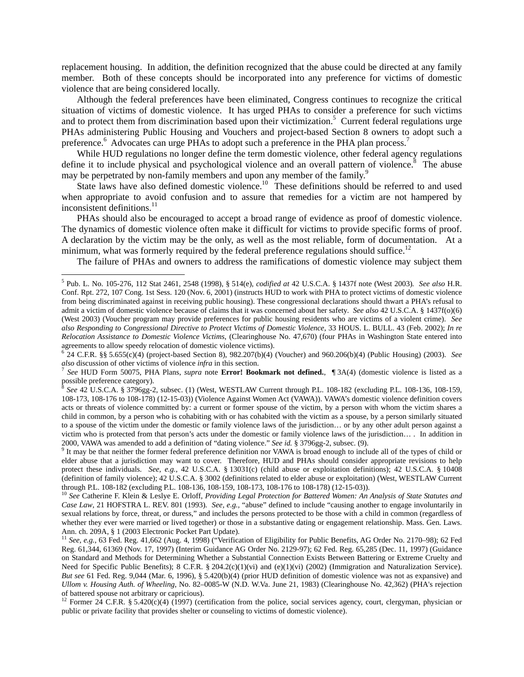replacement housing. In addition, the definition recognized that the abuse could be directed at any family member. Both of these concepts should be incorporated into any preference for victims of domestic violence that are being considered locally.

Although the federal preferences have been eliminated, Congress continues to recognize the critical situation of victims of domestic violence. It has urged PHAs to consider a preference for such victims and to protect them from discrimination based upon their victimization.<sup>5</sup> Current federal regulations urge PHAs administering Public Housing and Vouchers and project-based Section 8 owners to adopt such a preference.<sup>6</sup> Advocates can urge PHAs to adopt such a preference in the PHA plan process.<sup>7</sup>

While HUD regulations no longer define the term domestic violence, other federal agency regulations define it to include physical and psychological violence and an overall pattern of violence.<sup>8</sup> The abuse may be perpetrated by non-family members and upon any member of the family.<sup>9</sup>

State laws have also defined domestic violence.<sup>10</sup> These definitions should be referred to and used when appropriate to avoid confusion and to assure that remedies for a victim are not hampered by inconsistent definitions.<sup>11</sup>

 PHAs should also be encouraged to accept a broad range of evidence as proof of domestic violence. The dynamics of domestic violence often make it difficult for victims to provide specific forms of proof. A declaration by the victim may be the only, as well as the most reliable, form of documentation. At a minimum, what was formerly required by the federal preference regulations should suffice.<sup>12</sup>

The failure of PHAs and owners to address the ramifications of domestic violence may subject them

 5 Pub. L. No. 105-276, 112 Stat 2461, 2548 (1998), § 514(e), *codified at* 42 U.S.C.A. § 1437f note (West 2003)*. See also* H.R. Conf. Rpt. 272, 107 Cong. 1st Sess. 120 (Nov. 6, 2001) (instructs HUD to work with PHA to protect victims of domestic violence from being discriminated against in receiving public housing). These congressional declarations should thwart a PHA's refusal to admit a victim of domestic violence because of claims that it was concerned about her safety*. See also* 42 U.S.C.A. § 1437f(o)(6) (West 2003) (Voucher program may provide preferences for public housing residents who are victims of a violent crime). *See also Responding to Congressional Directive to Protect Victims of Domestic Violence*, 33 HOUS. L. BULL. 43 (Feb. 2002); *In re Relocation Assistance to Domestic Violence Victims*, (Clearinghouse No. 47,670) (four PHAs in Washington State entered into agreements to allow speedy relocation of domestic violence victims).

<sup>6</sup> 24 C.F.R. §§ 5.655(c)(4) (project-based Section 8), 982.207(b)(4) (Voucher) and 960.206(b)(4) (Public Housing) (2003). *See also* discussion of other victims of violence *infra* in this section.<br><sup>7</sup> *See* HUD Form 50075, PHA Plans, *supra* note **Error! Bookmark not defined.**, ¶ 3A(4) (domestic violence is listed as a

possible preference category).

<sup>8</sup> *See* 42 U.S.C.A. § 3796gg-2, subsec. (1) (West, WESTLAW Current through P.L. 108-182 (excluding P.L. 108-136, 108-159, 108-173, 108-176 to 108-178) (12-15-03)) (Violence Against Women Act (VAWA)). VAWA's domestic violence definition covers acts or threats of violence committed by: a current or former spouse of the victim, by a person with whom the victim shares a child in common, by a person who is cohabiting with or has cohabited with the victim as a spouse, by a person similarly situated to a spouse of the victim under the domestic or family violence laws of the jurisdiction… or by any other adult person against a victim who is protected from that person's acts under the domestic or family violence laws of the jurisdiction… . In addition in 2000, VAWA was amended to add a definition of "dating violence." *See id.* § 3796gg-2, subsec. (9). 9

<sup>&</sup>lt;sup>9</sup> It may be that neither the former federal preference definition nor VAWA is broad enough to include all of the types of child or elder abuse that a jurisdiction may want to cover. Therefore, HUD and PHAs should consider appropriate revisions to help protect these individuals. *See, e.g.,* 42 U.S.C.A. § 13031(c) (child abuse or exploitation definitions); 42 U.S.C.A. § 10408 (definition of family violence); 42 U.S.C.A. § 3002 (definitions related to elder abuse or exploitation) (West, WESTLAW Current through P.L. 108-182 (excluding P.L. 108-136, 108-159, 108-173, 108-176 to 108-178) (12-15-03)).

<sup>10</sup> *See* Catherine F. Klein & Leslye E. Orloff, *Providing Legal Protection for Battered Women: An Analysis of State Statutes and Case Law*, 21 HOFSTRA L. REV. 801 (1993)*. See, e.g.,* "abuse" defined to include "causing another to engage involuntarily in sexual relations by force, threat, or duress," and includes the persons protected to be those with a child in common (regardless of whether they ever were married or lived together) or those in a substantive dating or engagement relationship. Mass. Gen. Laws. Ann. ch. 209A, § 1 (2003 Electronic Pocket Part Update).<br><sup>11</sup> *See, e.g.*, 63 Fed. Reg. 41,662 (Aug. 4, 1998) ("Verification of Eligibility for Public Benefits, AG Order No. 2170–98); 62 Fed

Reg. 61,344, 61369 (Nov. 17, 1997) (Interim Guidance AG Order No. 2129-97); 62 Fed. Reg. 65,285 (Dec. 11, 1997) (Guidance on Standard and Methods for Determining Whether a Substantial Connection Exists Between Battering or Extreme Cruelty and Need for Specific Public Benefits); 8 C.F.R. § 204.2(c)(1)(vi) and (e)(1)(vi) (2002) (Immigration and Naturalization Service). *But see* 61 Fed. Reg. 9,044 (Mar. 6, 1996), § 5.420(b)(4) (prior HUD definition of domestic violence was not as expansive) and *Ullom v. Housing Auth. of Wheeling*, No. 82–0085-W (N.D. W.Va. June 21, 1983) (Clearinghouse No. 42,362) (PHA's rejection of battered spouse not arbitrary or capricious).

<sup>&</sup>lt;sup>12</sup> Former 24 C.F.R. § 5.420(c)(4) (1997) (certification from the police, social services agency, court, clergyman, physician or public or private facility that provides shelter or counseling to victims of domestic violence).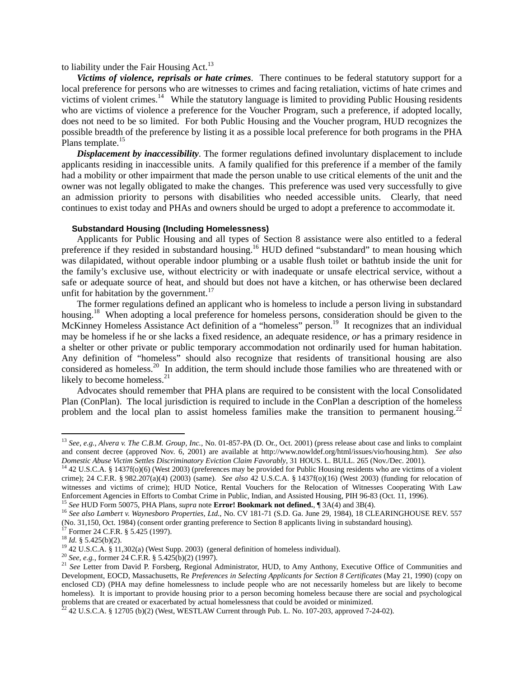to liability under the Fair Housing Act.<sup>13</sup>

 *Victims of violence, reprisals or hate crimes*. There continues to be federal statutory support for a local preference for persons who are witnesses to crimes and facing retaliation, victims of hate crimes and victims of violent crimes.<sup>14</sup> While the statutory language is limited to providing Public Housing residents who are victims of violence a preference for the Voucher Program, such a preference, if adopted locally, does not need to be so limited. For both Public Housing and the Voucher program, HUD recognizes the possible breadth of the preference by listing it as a possible local preference for both programs in the PHA Plans template.<sup>15</sup>

*Displacement by inaccessibility*. The former regulations defined involuntary displacement to include applicants residing in inaccessible units. A family qualified for this preference if a member of the family had a mobility or other impairment that made the person unable to use critical elements of the unit and the owner was not legally obligated to make the changes. This preference was used very successfully to give an admission priority to persons with disabilities who needed accessible units. Clearly, that need continues to exist today and PHAs and owners should be urged to adopt a preference to accommodate it.

## **Substandard Housing (Including Homelessness)**

Applicants for Public Housing and all types of Section 8 assistance were also entitled to a federal preference if they resided in substandard housing.<sup>16</sup> HUD defined "substandard" to mean housing which was dilapidated, without operable indoor plumbing or a usable flush toilet or bathtub inside the unit for the family's exclusive use, without electricity or with inadequate or unsafe electrical service, without a safe or adequate source of heat, and should but does not have a kitchen, or has otherwise been declared unfit for habitation by the government.<sup>17</sup>

The former regulations defined an applicant who is homeless to include a person living in substandard housing.<sup>18</sup> When adopting a local preference for homeless persons, consideration should be given to the McKinney Homeless Assistance Act definition of a "homeless" person.<sup>19</sup> It recognizes that an individual may be homeless if he or she lacks a fixed residence, an adequate residence, *or* has a primary residence in a shelter or other private or public temporary accommodation not ordinarily used for human habitation. Any definition of "homeless" should also recognize that residents of transitional housing are also considered as homeless.<sup>20</sup> In addition, the term should include those families who are threatened with or likely to become homeless.<sup>21</sup>

Advocates should remember that PHA plans are required to be consistent with the local Consolidated Plan (ConPlan). The local jurisdiction is required to include in the ConPlan a description of the homeless problem and the local plan to assist homeless families make the transition to permanent housing.<sup>22</sup>

 $\overline{a}$ 

<sup>13</sup> *See, e.g., Alvera v. The C.B.M. Group, Inc.,* No. 01-857-PA (D. Or., Oct. 2001) (press release about case and links to complaint and consent decree (approved Nov. 6, 2001) are available at http://www.nowldef.org/html/issues/vio/housing.htm)*. See also* 

 $14$  42 U.S.C.A. § 1437f(o)(6) (West 2003) (preferences may be provided for Public Housing residents who are victims of a violent crime); 24 C.F.R. § 982.207(a)(4) (2003) (same)*. See also* 42 U.S.C.A. § 1437f(o)(16) (West 2003) (funding for relocation of witnesses and victims of crime); HUD Notice, Rental Vouchers for the Relocation of Witnesses Cooperating With Law Enforcement Agencies in Efforts to Combat Crime in Public, Indian, and Assisted Housing, PIH 96-83 (Oct. 11, 1996).<br><sup>15</sup> See HUD Form 50075, PHA Plans, *supra* note **Error! Bookmark not defined.**, ¶ 3A(4) and 3B(4).<br><sup>16</sup> S

<sup>(</sup>No. 31,150, Oct. 1984) (consent order granting preference to Section 8 applicants living in substandard housing). <sup>17</sup> Former 24 C.F.R. § 5.425 (1997). <sup>18</sup> *Id*. § 5.425(b)(2).

<sup>&</sup>lt;sup>19</sup> 42 U.S.C.A. § 11,302(a) (West Supp. 2003) (general definition of homeless individual).<br><sup>20</sup> See, e.g., former 24 C.F.R. § 5.425(b)(2) (1997).<br><sup>21</sup> See Letter from David P. Forsberg, Regional Administrator, HUD, to Am Development, EOCD, Massachusetts, Re *Preferences in Selecting Applicants for Section 8 Certificates* (May 21, 1990) (copy on enclosed CD) (PHA may define homelessness to include people who are not necessarily homeless but are likely to become homeless). It is important to provide housing prior to a person becoming homeless because there are social and psychological problems that are created or exacerbated by actual homelessness that could be avoided or minimized.<br><sup>22</sup> 42 U.S.C.A. § 12705 (b)(2) (West, WESTLAW Current through Pub. L. No. 107-203, approved 7-24-02).